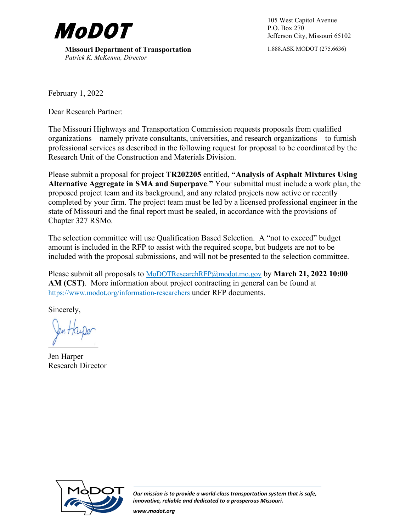

**Missouri Department of Transportation** *Patrick K. McKenna, Director*

P.O. Box 270 Jefferson City, Missouri 65102

1.888.ASK MODOT (275.6636)

February 1, 2022

Dear Research Partner:

The Missouri Highways and Transportation Commission requests proposals from qualified organizations—namely private consultants, universities, and research organizations—to furnish professional services as described in the following request for proposal to be coordinated by the Research Unit of the Construction and Materials Division.

Please submit a proposal for project **TR202205** entitled, **"Analysis of Asphalt Mixtures Using Alternative Aggregate in SMA and Superpave**.**"** Your submittal must include a work plan, the proposed project team and its background, and any related projects now active or recently completed by your firm. The project team must be led by a licensed professional engineer in the state of Missouri and the final report must be sealed, in accordance with the provisions of Chapter 327 RSMo.

The selection committee will use Qualification Based Selection. A "not to exceed" budget amount is included in the RFP to assist with the required scope, but budgets are not to be included with the proposal submissions, and will not be presented to the selection committee.

Please submit all proposals to [MoDOTResearchRFP@modot.mo.gov](mailto:MoDOTResearchRFP@modot.mo.gov) by **March 21, 2022 10:00 AM (CST)**. More information about project contracting in general can be found at <https://www.modot.org/information-researchers>under RFP documents.

Sincerely,

Jen Harper Research Director



*Our mission is to provide a world-class transportation system that is safe, innovative, reliable and dedicated to a prosperous Missouri.*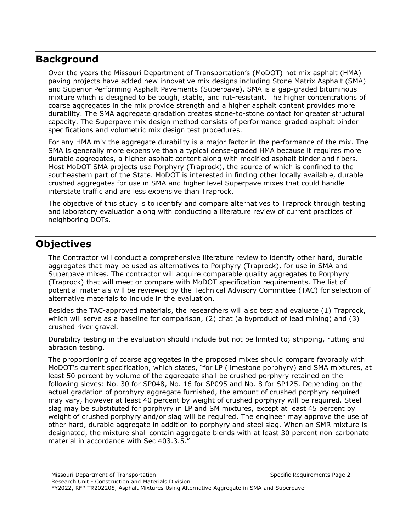## **Background**

Over the years the Missouri Department of Transportation's (MoDOT) hot mix asphalt (HMA) paving projects have added new innovative mix designs including Stone Matrix Asphalt (SMA) and Superior Performing Asphalt Pavements (Superpave). SMA is a gap-graded bituminous mixture which is designed to be tough, stable, and rut-resistant. The higher concentrations of coarse aggregates in the mix provide strength and a higher asphalt content provides more durability. The SMA aggregate gradation creates stone-to-stone contact for greater structural capacity. The Superpave mix design method consists of performance-graded asphalt binder specifications and volumetric mix design test procedures.

For any HMA mix the aggregate durability is a major factor in the performance of the mix. The SMA is generally more expensive than a typical dense-graded HMA because it requires more durable aggregates, a higher asphalt content along with modified asphalt binder and fibers. Most MoDOT SMA projects use Porphyry (Traprock), the source of which is confined to the southeastern part of the State. MoDOT is interested in finding other locally available, durable crushed aggregates for use in SMA and higher level Superpave mixes that could handle interstate traffic and are less expensive than Traprock.

The objective of this study is to identify and compare alternatives to Traprock through testing and laboratory evaluation along with conducting a literature review of current practices of neighboring DOTs.

# **Objectives**

The Contractor will conduct a comprehensive literature review to identify other hard, durable aggregates that may be used as alternatives to Porphyry (Traprock), for use in SMA and Superpave mixes. The contractor will acquire comparable quality aggregates to Porphyry (Traprock) that will meet or compare with MoDOT specification requirements. The list of potential materials will be reviewed by the Technical Advisory Committee (TAC) for selection of alternative materials to include in the evaluation.

Besides the TAC-approved materials, the researchers will also test and evaluate (1) Traprock, which will serve as a baseline for comparison, (2) chat (a byproduct of lead mining) and (3) crushed river gravel.

Durability testing in the evaluation should include but not be limited to; stripping, rutting and abrasion testing.

The proportioning of coarse aggregates in the proposed mixes should compare favorably with MoDOT's current specification, which states, "for LP (limestone porphyry) and SMA mixtures, at least 50 percent by volume of the aggregate shall be crushed porphyry retained on the following sieves: No. 30 for SP048, No. 16 for SP095 and No. 8 for SP125. Depending on the actual gradation of porphyry aggregate furnished, the amount of crushed porphyry required may vary, however at least 40 percent by weight of crushed porphyry will be required. Steel slag may be substituted for porphyry in LP and SM mixtures, except at least 45 percent by weight of crushed porphyry and/or slag will be required. The engineer may approve the use of other hard, durable aggregate in addition to porphyry and steel slag. When an SMR mixture is designated, the mixture shall contain aggregate blends with at least 30 percent non-carbonate material in accordance with Sec 403.3.5."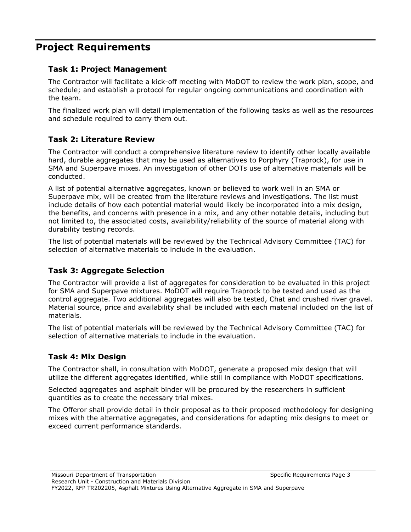# **Project Requirements**

### **Task 1: Project Management**

The Contractor will facilitate a kick-off meeting with MoDOT to review the work plan, scope, and schedule; and establish a protocol for regular ongoing communications and coordination with the team.

The finalized work plan will detail implementation of the following tasks as well as the resources and schedule required to carry them out.

### **Task 2: Literature Review**

The Contractor will conduct a comprehensive literature review to identify other locally available hard, durable aggregates that may be used as alternatives to Porphyry (Traprock), for use in SMA and Superpave mixes. An investigation of other DOTs use of alternative materials will be conducted.

A list of potential alternative aggregates, known or believed to work well in an SMA or Superpave mix, will be created from the literature reviews and investigations. The list must include details of how each potential material would likely be incorporated into a mix design, the benefits, and concerns with presence in a mix, and any other notable details, including but not limited to, the associated costs, availability/reliability of the source of material along with durability testing records.

The list of potential materials will be reviewed by the Technical Advisory Committee (TAC) for selection of alternative materials to include in the evaluation.

## **Task 3: Aggregate Selection**

The Contractor will provide a list of aggregates for consideration to be evaluated in this project for SMA and Superpave mixtures. MoDOT will require Traprock to be tested and used as the control aggregate. Two additional aggregates will also be tested, Chat and crushed river gravel. Material source, price and availability shall be included with each material included on the list of materials.

The list of potential materials will be reviewed by the Technical Advisory Committee (TAC) for selection of alternative materials to include in the evaluation.

## **Task 4: Mix Design**

The Contractor shall, in consultation with MoDOT, generate a proposed mix design that will utilize the different aggregates identified, while still in compliance with MoDOT specifications.

Selected aggregates and asphalt binder will be procured by the researchers in sufficient quantities as to create the necessary trial mixes.

The Offeror shall provide detail in their proposal as to their proposed methodology for designing mixes with the alternative aggregates, and considerations for adapting mix designs to meet or exceed current performance standards.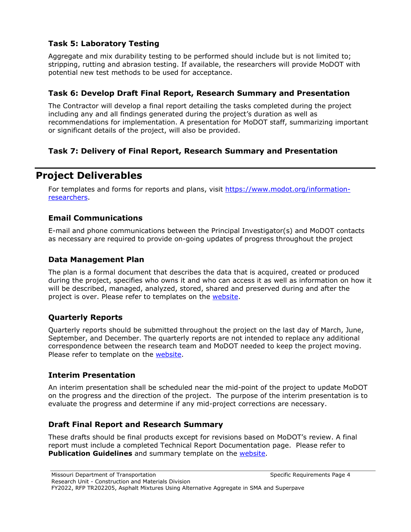### **Task 5: Laboratory Testing**

Aggregate and mix durability testing to be performed should include but is not limited to; stripping, rutting and abrasion testing. If available, the researchers will provide MoDOT with potential new test methods to be used for acceptance.

#### **Task 6: Develop Draft Final Report, Research Summary and Presentation**

The Contractor will develop a final report detailing the tasks completed during the project including any and all findings generated during the project's duration as well as recommendations for implementation. A presentation for MoDOT staff, summarizing important or significant details of the project, will also be provided.

### **Task 7: Delivery of Final Report, Research Summary and Presentation**

## **Project Deliverables**

For templates and forms for reports and plans, visit [https://www.modot.org/information](https://www.modot.org/information-researchers)[researchers.](https://www.modot.org/information-researchers)

#### **Email Communications**

E-mail and phone communications between the Principal Investigator(s) and MoDOT contacts as necessary are required to provide on-going updates of progress throughout the project

#### **Data Management Plan**

The plan is a formal document that describes the data that is acquired, created or produced during the project, specifies who owns it and who can access it as well as information on how it will be described, managed, analyzed, stored, shared and preserved during and after the project is over. Please refer to templates on the [website.](https://www.modot.org/information-researchers)

### **Quarterly Reports**

Quarterly reports should be submitted throughout the project on the last day of March, June, September, and December. The quarterly reports are not intended to replace any additional correspondence between the research team and MoDOT needed to keep the project moving. Please refer to template on the [website.](https://www.modot.org/information-researchers)

#### **Interim Presentation**

An interim presentation shall be scheduled near the mid-point of the project to update MoDOT on the progress and the direction of the project. The purpose of the interim presentation is to evaluate the progress and determine if any mid-project corrections are necessary.

#### **Draft Final Report and Research Summary**

These drafts should be final products except for revisions based on MoDOT's review. A final report must include a completed Technical Report Documentation page. Please refer to **Publication Guidelines** and summary template on the [website.](https://www.modot.org/information-researchers)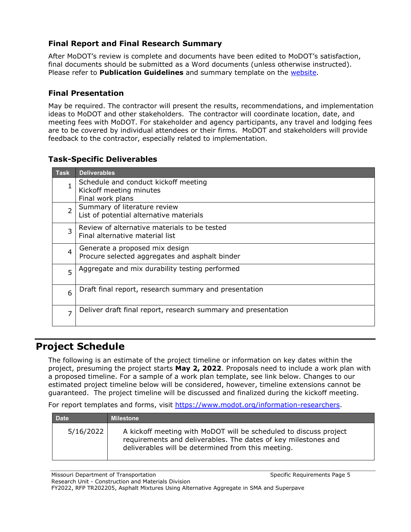### **Final Report and Final Research Summary**

After MoDOT's review is complete and documents have been edited to MoDOT's satisfaction, final documents should be submitted as a Word documents (unless otherwise instructed). Please refer to **Publication Guidelines** and summary template on the [website.](https://www.modot.org/information-researchers)

#### **Final Presentation**

May be required. The contractor will present the results, recommendations, and implementation ideas to MoDOT and other stakeholders. The contractor will coordinate location, date, and meeting fees with MoDOT. For stakeholder and agency participants, any travel and lodging fees are to be covered by individual attendees or their firms. MoDOT and stakeholders will provide feedback to the contractor, especially related to implementation.

#### **Task-Specific Deliverables**

| <b>Task</b>    | <b>Deliverables</b>                                                                 |
|----------------|-------------------------------------------------------------------------------------|
| 1              | Schedule and conduct kickoff meeting<br>Kickoff meeting minutes<br>Final work plans |
| $\overline{2}$ | Summary of literature review<br>List of potential alternative materials             |
| 3              | Review of alternative materials to be tested<br>Final alternative material list     |
| $\overline{4}$ | Generate a proposed mix design<br>Procure selected aggregates and asphalt binder    |
| 5              | Aggregate and mix durability testing performed                                      |
| 6              | Draft final report, research summary and presentation                               |
| $\overline{ }$ | Deliver draft final report, research summary and presentation                       |

## **Project Schedule**

The following is an estimate of the project timeline or information on key dates within the project, presuming the project starts **May 2, 2022**. Proposals need to include a work plan with a proposed timeline. For a sample of a work plan template, see link below. Changes to our estimated project timeline below will be considered, however, timeline extensions cannot be guaranteed. The project timeline will be discussed and finalized during the kickoff meeting.

For report templates and forms, visit [https://www.modot.org/information-researchers.](https://www.modot.org/information-researchers)

| <b>Date</b> | <b>Milestone</b>                                                                                                                                                                          |
|-------------|-------------------------------------------------------------------------------------------------------------------------------------------------------------------------------------------|
| 5/16/2022   | A kickoff meeting with MoDOT will be scheduled to discuss project<br>requirements and deliverables. The dates of key milestones and<br>deliverables will be determined from this meeting. |

Missouri Department of Transportation Number 2012 19:30 Specific Requirements Page 5 Research Unit - Construction and Materials Division

FY2022, RFP TR202205, Asphalt Mixtures Using Alternative Aggregate in SMA and Superpave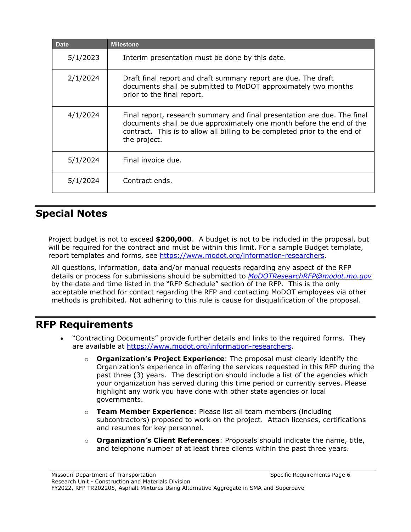| <b>Date</b> | <b>Milestone</b>                                                                                                                                                                                                                               |
|-------------|------------------------------------------------------------------------------------------------------------------------------------------------------------------------------------------------------------------------------------------------|
| 5/1/2023    | Interim presentation must be done by this date.                                                                                                                                                                                                |
| 2/1/2024    | Draft final report and draft summary report are due. The draft<br>documents shall be submitted to MoDOT approximately two months<br>prior to the final report.                                                                                 |
| 4/1/2024    | Final report, research summary and final presentation are due. The final<br>documents shall be due approximately one month before the end of the<br>contract. This is to allow all billing to be completed prior to the end of<br>the project. |
| 5/1/2024    | Final invoice due.                                                                                                                                                                                                                             |
| 5/1/2024    | Contract ends.                                                                                                                                                                                                                                 |

# **Special Notes**

Project budget is not to exceed **\$200,000**. A budget is not to be included in the proposal, but will be required for the contract and must be within this limit. For a sample Budget template, report templates and forms, see [https://www.modot.org/information-researchers.](https://www.modot.org/information-researchers)

All questions, information, data and/or manual requests regarding any aspect of the RFP details or process for submissions should be submitted to *[MoDOTResearchRFP@modot.mo.gov](mailto:MoDOTResearchRFP@modot.mo.gov)* by the date and time listed in the "RFP Schedule" section of the RFP. This is the only acceptable method for contact regarding the RFP and contacting MoDOT employees via other methods is prohibited. Not adhering to this rule is cause for disqualification of the proposal.

## **RFP Requirements**

- "Contracting Documents" provide further details and links to the required forms. They are available at [https://www.modot.org/information-researchers.](https://www.modot.org/information-researchers)
	- o **Organization's Project Experience**: The proposal must clearly identify the Organization's experience in offering the services requested in this RFP during the past three (3) years. The description should include a list of the agencies which your organization has served during this time period or currently serves. Please highlight any work you have done with other state agencies or local governments.
	- o **Team Member Experience**: Please list all team members (including subcontractors) proposed to work on the project. Attach licenses, certifications and resumes for key personnel.
	- o **Organization's Client References**: Proposals should indicate the name, title, and telephone number of at least three clients within the past three years.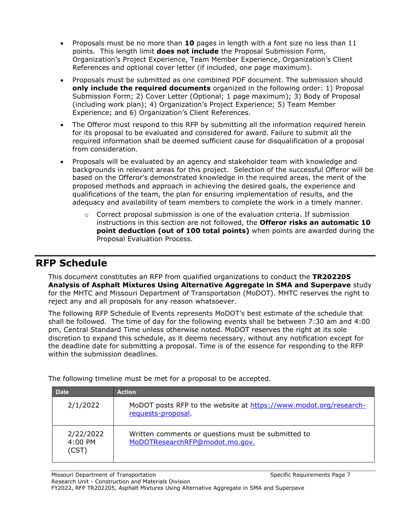- Proposals must be no more than **10** pages in length with a font size no less than 11 points. This length limit **does not include** the Proposal Submission Form, Organization's Project Experience, Team Member Experience, Organization's Client References and optional cover letter (if included, one page maximum).
- Proposals must be submitted as one combined PDF document. The submission should **only include the required documents** organized in the following order: 1) Proposal Submission Form; 2) Cover Letter (Optional; 1 page maximum); 3) Body of Proposal (including work plan); 4) Organization's Project Experience; 5) Team Member Experience; and 6) Organization's Client References.
- The Offeror must respond to this RFP by submitting all the information required herein for its proposal to be evaluated and considered for award. Failure to submit all the required information shall be deemed sufficient cause for disqualification of a proposal from consideration.
- Proposals will be evaluated by an agency and stakeholder team with knowledge and backgrounds in relevant areas for this project. Selection of the successful Offeror will be based on the Offeror's demonstrated knowledge in the required areas, the merit of the proposed methods and approach in achieving the desired goals, the experience and qualifications of the team, the plan for ensuring implementation of results, and the adequacy and availability of team members to complete the work in a timely manner.
	- $\circ$  Correct proposal submission is one of the evaluation criteria. If submission instructions in this section are not followed, the **Offeror risks an automatic 10 point deduction (out of 100 total points)** when points are awarded during the Proposal Evaluation Process.

## **RFP Schedule**

This document constitutes an RFP from qualified organizations to conduct the **TR202205 Analysis of Asphalt Mixtures Using Alternative Aggregate in SMA and Superpave** study for the MHTC and Missouri Department of Transportation (MoDOT). MHTC reserves the right to reject any and all proposals for any reason whatsoever.

The following RFP Schedule of Events represents MoDOT's best estimate of the schedule that shall be followed. The time of day for the following events shall be between 7:30 am and 4:00 pm, Central Standard Time unless otherwise noted. MoDOT reserves the right at its sole discretion to expand this schedule, as it deems necessary, without any notification except for the deadline date for submitting a proposal. Time is of the essence for responding to the RFP within the submission deadlines.

| <b>Date</b>                   | <b>Action</b>                                                                          |
|-------------------------------|----------------------------------------------------------------------------------------|
| 2/1/2022                      | MoDOT posts RFP to the website at https://www.modot.org/research-<br>requests-proposal |
| 2/22/2022<br>4:00 PM<br>(CST) | Written comments or questions must be submitted to<br>MoDOTResearchRFP@modot.mo.gov.   |

The following timeline must be met for a proposal to be accepted.

FY2022, RFP TR202205, Asphalt Mixtures Using Alternative Aggregate in SMA and Superpave

Missouri Department of Transportation Specific Requirements Page 7 Research Unit - Construction and Materials Division